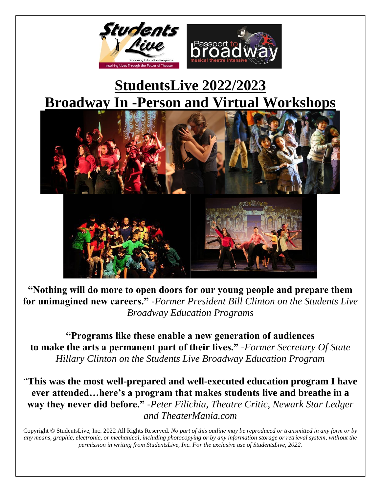

# **StudentsLive 2022/2023 Broadway In -Person and Virtual Workshops**



**"Nothing will do more to open doors for our young people and prepare them for unimagined new careers."** *-Former President Bill Clinton on the Students Live Broadway Education Programs*

**"Programs like these enable a new generation of audiences to make the arts a permanent part of their lives."** *-Former Secretary Of State Hillary Clinton on the Students Live Broadway Education Program*

"**This was the most well-prepared and well-executed education program I have ever attended…here's a program that makes students live and breathe in a way they never did before."** *-Peter Filichia, Theatre Critic, Newark Star Ledger and TheaterMania.com*

Copyright © StudentsLive, Inc. 2022 All Rights Reserved. *No part of this outline may be reproduced or transmitted in any form or by any means, graphic, electronic, or mechanical, including photocopying or by any information storage or retrieval system, without the permission in writing from StudentsLive, Inc. For the exclusive use of StudentsLive, 2022.*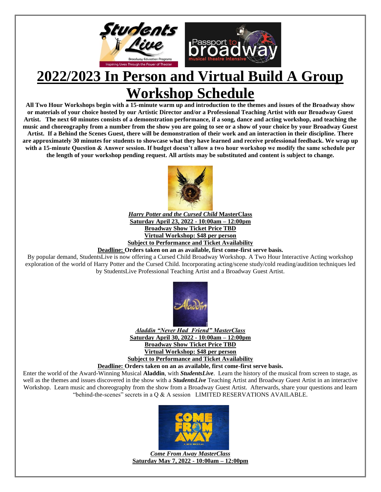

# **2022/2023 In Person and Virtual Build A Group Workshop Schedule**

**All Two Hour Workshops begin with a 15-minute warm up and introduction to the themes and issues of the Broadway show or materials of your choice hosted by our Artistic Director and/or a Professional Teaching Artist with our Broadway Guest Artist. The next 60 minutes consists of a demonstration performance, if a song, dance and acting workshop, and teaching the music and choreography from a number from the show you are going to see or a show of your choice by your Broadway Guest Artist. If a Behind the Scenes Guest, there will be demonstration of their work and an interaction in their discipline. There are approximately 30 minutes for students to showcase what they have learned and receive professional feedback. We wrap up with a 15-minute Question & Answer session. If budget doesn't allow a two hour workshop we modify the same schedule per the length of your workshop pending request. All artists may be substituted and content is subject to change.**



*Harry Potter and the Cursed Child* **MasterClass Saturday April 23, 2022 - 10:00am – 12:00pm Broadway Show Ticket Price TBD Virtual Workshop: \$48 per person Subject to Performance and Ticket Availability**

**Deadline: Orders taken on an as available, first come-first serve basis.** 

By popular demand, StudentsLive is now offering a Cursed Child Broadway Workshop. A Two Hour Interactive Acting workshop exploration of the world of Harry Potter and the Cursed Child. Incorporating acting/scene study/cold reading/audition techniques led by StudentsLive Professional Teaching Artist and a Broadway Guest Artist.



*Aladdin "Never Had Friend" MasterClass* **Saturday April 30, 2022 - 10:00am – 12:00pm Broadway Show Ticket Price TBD Virtual Workshop: \$48 per person Subject to Performance and Ticket Availability**

**Deadline: Orders taken on an as available, first come-first serve basis.** 

Enter the world of the Award-Winning Musical **Aladdin**, with *StudentsLive*. Learn the history of the musical from screen to stage, as well as the themes and issues discovered in the show with a *StudentsLive* Teaching Artist and Broadway Guest Artist in an interactive Workshop. Learn music and choreography from the show from a Broadway Guest Artist. Afterwards, share your questions and learn "behind-the-scenes" secrets in a Q & A session LIMITED RESERVATIONS AVAILABLE.



*Come From Away MasterClass* **Saturday May 7, 2022 - 10:00am – 12:00pm**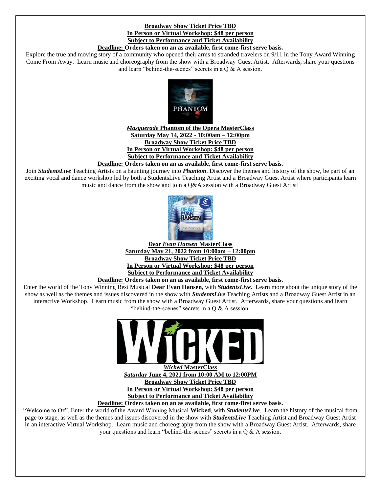# **Broadway Show Ticket Price TBD In Person or Virtual Workshop: \$48 per person Subject to Performance and Ticket Availability**

#### **Deadline: Orders taken on an as available, first come-first serve basis.**

Explore the true and moving story of a community who opened their arms to stranded travelers on 9/11 in the Tony Award Winning Come From Away. Learn music and choreography from the show with a Broadway Guest Artist. Afterwards, share your questions and learn "behind-the-scenes" secrets in a Q & A session.



### *Masquerade* **Phantom of the Opera MasterClass Saturday May 14, 2022 - 10:00am – 12:00pm Broadway Show Ticket Price TBD In Person or Virtual Workshop: \$48 per person Subject to Performance and Ticket Availability**

#### **Deadline: Orders taken on an as available, first come-first serve basis.**

Join *StudentsLive* Teaching Artists on a haunting journey into *Phantom*. Discover the themes and history of the show, be part of an exciting vocal and dance workshop led by both a StudentsLive Teaching Artist and a Broadway Guest Artist where participants learn music and dance from the show and join a Q&A session with a Broadway Guest Artist!



*Dear Evan Hansen* **MasterClass Saturday May 21, 2022 from 10:00am – 12:00pm Broadway Show Ticket Price TBD In Person or Virtual Workshop: \$48 per person Subject to Performance and Ticket Availability**

**Deadline: Orders taken on an as available, first come-first serve basis.** 

Enter the world of the Tony Winning Best Musical **Dear Evan Hansen**, with *StudentsLive*. Learn more about the unique story of the show as well as the themes and issues discovered in the show with *StudentsLive* Teaching Artists and a Broadway Guest Artist in an interactive Workshop. Learn music from the show with a Broadway Guest Artist. Afterwards, share your questions and learn "behind-the-scenes" secrets in a Q & A session.



*Wicked* **MasterClass** *Saturday* **June 4, 2021 from 10:00 AM to 12:00PM Broadway Show Ticket Price TBD In Person or Virtual Workshop: \$48 per person Subject to Performance and Ticket Availability**

**Deadline: Orders taken on an as available, first come-first serve basis.** 

"Welcome to Oz". Enter the world of the Award Winning Musical **Wicked**, with *StudentsLive*. Learn the history of the musical from page to stage, as well as the themes and issues discovered in the show with *StudentsLive* Teaching Artist and Broadway Guest Artist in an interactive Virtual Workshop. Learn music and choreography from the show with a Broadway Guest Artist. Afterwards, share your questions and learn "behind-the-scenes" secrets in a Q & A session.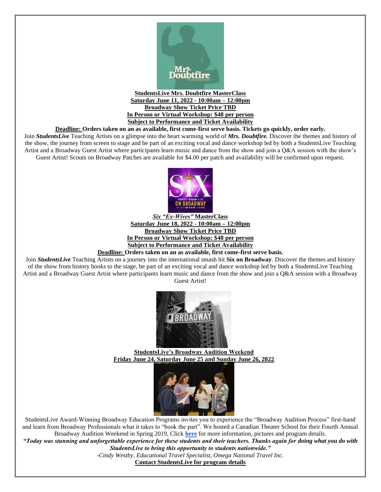

**StudentsLive Mrs. Doubtfire MasterClass Saturday June 11, 2022 - 10:00am – 12:00pm Broadway Show Ticket Price TBD In Person or Virtual Workshop: \$48 per person Subject to Performance and Ticket Availability**

#### **Deadline: Orders taken on an as available, first come-first serve basis. Tickets go quickly, order early.**

Join *StudentsLive* Teaching Artists on a glimpse into the heart warming world of *Mrs. Doubtfire.* Discover the themes and history of the show, the journey from screen to stage and be part of an exciting vocal and dance workshop led by both a StudentsLive Teaching Artist and a Broadway Guest Artist where participants learn music and dance from the show and join a Q&A session with the show's Guest Artist! Scouts on Broadway Patches are available for \$4.00 per patch and availability will be confirmed upon request.



*Six "Ex-Wives"* **MasterClass Saturday June 18, 2022 - 10:00am – 12:00pm Broadway Show Ticket Price TBD In Person or Virtual Workshop: \$48 per person Subject to Performance and Ticket Availability**

**Deadline: Orders taken on an as available, first come-first serve basis.** 

Join *StudentsLive* Teaching Artists on a journey into the international smash hit **Six on Broadway**. Discover the themes and history of the show from history books to the stage, be part of an exciting vocal and dance workshop led by both a StudentsLive Teaching Artist and a Broadway Guest Artist where participants learn music and dance from the show and join a Q&A session with a Broadway Guest Artist!



**StudentsLive's Broadway Audition Weekend Friday June 24, Saturday June 25 and Sunday June 26, 2022**



StudentsLive Award-Winning Broadway Education Programs invites you to experience the "Broadway Audition Process" first-hand and learn from Broadway Professionals what it takes to "book the part". We hosted a Canadian Theater School for their Fourth Annual Broadway Audition Weekend in Spring 2019, Click **[here](http://studentslive.net/pdf/2016/05/Broadway%20Audition%20Weekend%20Workshop.pdf)** for more information, pictures and program details.

*"Today was stunning and unforgettable experience for these students and their teachers. Thanks again for doing what you do with StudentsLive to bring this opportunity to students nationwide."*

*-Cindy Westby, Educational Travel Specialist, Omega National Travel Inc.*

**Contact StudentsLive for program details**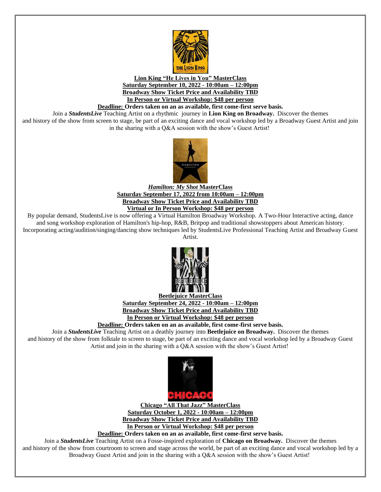

**Lion King "He Lives in You" MasterClass Saturday September 10, 2022 - 10:00am – 12:00pm Broadway Show Ticket Price and Availability TBD In Person or Virtual Workshop: \$48 per person**

**Deadline: Orders taken on an as available, first come-first serve basis.** 

Join a *StudentsLive* Teaching Artist on a rhythmic journey in **Lion King on Broadway.** Discover the themes and history of the show from screen to stage, be part of an exciting dance and vocal workshop led by a Broadway Guest Artist and join

in the sharing with a Q&A session with the show's Guest Artist!



*Hamilton: My Shot* **MasterClass Saturday September 17, 2022 from 10:00am – 12:00pm Broadway Show Ticket Price and Availability TBD Virtual or In Person Workshop: \$48 per person**

By popular demand, StudentsLive is now offering a Virtual Hamilton Broadway Workshop. A Two-Hour Interactive acting, dance and song workshop exploration of Hamilton's hip-hop, R&B, Britpop and traditional showstoppers about American history. Incorporating acting/audition/singing/dancing show techniques led by StudentsLive Professional Teaching Artist and Broadway Guest Artist.



**Beetlejuice MasterClass Saturday September 24, 2022 - 10:00am – 12:00pm Broadway Show Ticket Price and Availability TBD In Person or Virtual Workshop: \$48 per person**

**Deadline: Orders taken on an as available, first come-first serve basis.** 

Join a *StudentsLive* Teaching Artist on a deathly journey into **Beetlejuice on Broadway.** Discover the themes and history of the show from folktale to screen to stage, be part of an exciting dance and vocal workshop led by a Broadway Guest Artist and join in the sharing with a Q&A session with the show's Guest Artist!



**Chicago "All That Jazz" MasterClass Saturday October 1, 2022 - 10:00am – 12:00pm Broadway Show Ticket Price and Availability TBD In Person or Virtual Workshop: \$48 per person**

**Deadline: Orders taken on an as available, first come-first serve basis.** 

Join a *StudentsLive* Teaching Artist on a Fosse-inspired exploration of **Chicago on Broadway.** Discover the themes and history of the show from courtroom to screen and stage across the world, be part of an exciting dance and vocal workshop led by a Broadway Guest Artist and join in the sharing with a Q&A session with the show's Guest Artist!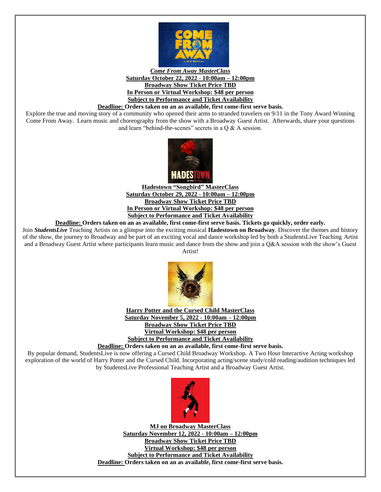

### *Come From Away MasterClass* **Saturday October 22, 2022 - 10:00am – 12:00pm Broadway Show Ticket Price TBD In Person or Virtual Workshop: \$48 per person Subject to Performance and Ticket Availability**

### **Deadline: Orders taken on an as available, first come-first serve basis.**

Explore the true and moving story of a community who opened their arms to stranded travelers on 9/11 in the Tony Award Winning Come From Away. Learn music and choreography from the show with a Broadway Guest Artist. Afterwards, share your questions and learn "behind-the-scenes" secrets in a Q & A session.



**Hadestown "Songbird" MasterClass Saturday October 29, 2022 - 10:00am – 12:00pm Broadway Show Ticket Price TBD In Person or Virtual Workshop: \$48 per person Subject to Performance and Ticket Availability**

# **Deadline: Orders taken on an as available, first come-first serve basis. Tickets go quickly, order early.**

Join *StudentsLive* Teaching Artists on a glimpse into the exciting musical **Hadestown on Broadway**. Discover the themes and history of the show, the journey to Broadway and be part of an exciting vocal and dance workshop led by both a StudentsLive Teaching Artist and a Broadway Guest Artist where participants learn music and dance from the show and join a Q&A session with the show's Guest Artist!



**Harry Potter and the Cursed Child MasterClass Saturday November 5, 2022 - 10:00am – 12:00pm Broadway Show Ticket Price TBD Virtual Workshop: \$48 per person Subject to Performance and Ticket Availability Deadline: Orders taken on an as available, first come-first serve basis.** 

By popular demand, StudentsLive is now offering a Cursed Child Broadway Workshop. A Two Hour Interactive Acting workshop exploration of the world of Harry Potter and the Cursed Child. Incorporating acting/scene study/cold reading/audition techniques led by StudentsLive Professional Teaching Artist and a Broadway Guest Artist.



**MJ on Broadway MasterClass Saturday November 12, 2022 - 10:00am – 12:00pm Broadway Show Ticket Price TBD Virtual Workshop: \$48 per person Subject to Performance and Ticket Availability Deadline: Orders taken on an as available, first come-first serve basis.**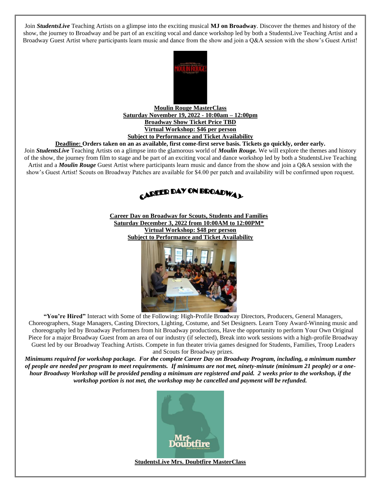Join *StudentsLive* Teaching Artists on a glimpse into the exciting musical **MJ on Broadway**. Discover the themes and history of the show, the journey to Broadway and be part of an exciting vocal and dance workshop led by both a StudentsLive Teaching Artist and a Broadway Guest Artist where participants learn music and dance from the show and join a Q&A session with the show's Guest Artist!



**Moulin Rouge MasterClass Saturday November 19, 2022 - 10:00am – 12:00pm Broadway Show Ticket Price TBD Virtual Workshop: \$46 per person Subject to Performance and Ticket Availability**

#### **Deadline: Orders taken on an as available, first come-first serve basis. Tickets go quickly, order early.**

Join *StudentsLive* Teaching Artists on a glimpse into the glamorous world of *Moulin Rouge.* We will explore the themes and history of the show, the journey from film to stage and be part of an exciting vocal and dance workshop led by both a StudentsLive Teaching Artist and a *Moulin Rouge* Guest Artist where participants learn music and dance from the show and join a Q&A session with the show's Guest Artist! Scouts on Broadway Patches are available for \$4.00 per patch and availability will be confirmed upon request.



**Career Day on Broadway for Scouts, Students and Families Saturday December 3, 2022 from 10:00AM to 12:00PM\* Virtual Workshop: \$48 per person Subject to Performance and Ticket Availability**



**"You're Hired"** Interact with Some of the Following: High-Profile Broadway Directors, Producers, General Managers, Choreographers, Stage Managers, Casting Directors, Lighting, Costume, and Set Designers. Learn Tony Award-Winning music and choreography led by Broadway Performers from hit Broadway productions, Have the opportunity to perform Your Own Original Piece for a major Broadway Guest from an area of our industry (if selected), Break into work sessions with a high-profile Broadway Guest led by our Broadway Teaching Artists. Compete in fun theater trivia games designed for Students, Families, Troop Leaders and Scouts for Broadway prizes.

*Minimums required for workshop package. For the complete Career Day on Broadway Program, including, a minimum number of people are needed per program to meet requirements. If minimums are not met, ninety-minute (minimum 21 people) or a onehour Broadway Workshop will be provided pending a minimum are registered and paid. 2 weeks prior to the workshop, if the workshop portion is not met, the workshop may be cancelled and payment will be refunded.*



**StudentsLive Mrs. Doubtfire MasterClass**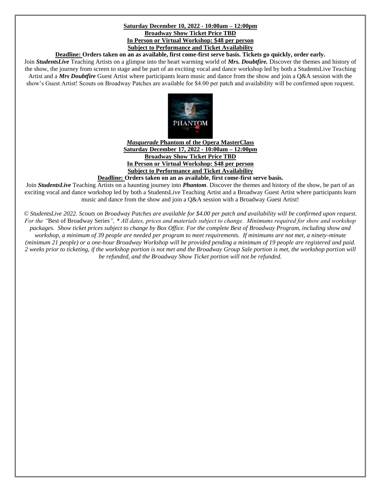### **Saturday December 10, 2022 - 10:00am – 12:00pm Broadway Show Ticket Price TBD In Person or Virtual Workshop: \$48 per person Subject to Performance and Ticket Availability**

### **Deadline: Orders taken on an as available, first come-first serve basis. Tickets go quickly, order early.**

Join *StudentsLive* Teaching Artists on a glimpse into the heart warming world of *Mrs. Doubtfire.* Discover the themes and history of the show, the journey from screen to stage and be part of an exciting vocal and dance workshop led by both a StudentsLive Teaching Artist and a *Mrs Doubtfire* Guest Artist where participants learn music and dance from the show and join a Q&A session with the show's Guest Artist! Scouts on Broadway Patches are available for \$4.00 per patch and availability will be confirmed upon request.



# *Masquerade* **Phantom of the Opera MasterClass Saturday December 17, 2022 - 10:00am – 12:00pm Broadway Show Ticket Price TBD In Person or Virtual Workshop: \$48 per person Subject to Performance and Ticket Availability**

# **Deadline: Orders taken on an as available, first come-first serve basis.**

Join *StudentsLive* Teaching Artists on a haunting journey into *Phantom*. Discover the themes and history of the show, be part of an exciting vocal and dance workshop led by both a StudentsLive Teaching Artist and a Broadway Guest Artist where participants learn music and dance from the show and join a Q&A session with a Broadway Guest Artist!

*© StudentsLive 2022. Scouts on Broadway Patches are available for \$4.00 per patch and availability will be confirmed upon request. For the "*Best of Broadway Series*", \* All dates, prices and materials subject to change. Minimums required for show and workshop packages. Show ticket prices subject to change by Box Office. For the complete Best of Broadway Program, including show and workshop, a minimum of 39 people are needed per program to meet requirements. If minimums are not met, a ninety-minute (minimum 21 people) or a one-hour Broadway Workshop will be provided pending a minimum of 19 people are registered and paid. 2 weeks prior to ticketing, if the workshop portion is not met and the Broadway Group Sale portion is met, the workshop portion will be refunded, and the Broadway Show Ticket portion will not be refunded.*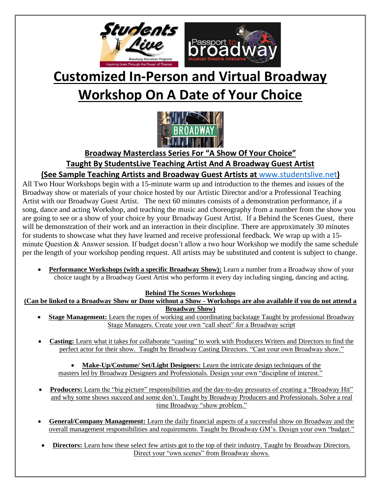

# **Customized In-Person and Virtual Broadway Workshop On A Date of Your Choice**



# **Broadway Masterclass Series For "A Show Of Your Choice" Taught By StudentsLive Teaching Artist And A Broadway Guest Artist (See Sample Teaching Artists and Broadway Guest Artists at** [www.studentslive.net](http://www.studentslive.net/)**)**

All Two Hour Workshops begin with a 15-minute warm up and introduction to the themes and issues of the Broadway show or materials of your choice hosted by our Artistic Director and/or a Professional Teaching Artist with our Broadway Guest Artist. The next 60 minutes consists of a demonstration performance, if a song, dance and acting Workshop, and teaching the music and choreography from a number from the show you are going to see or a show of your choice by your Broadway Guest Artist. If a Behind the Scenes Guest, there will be demonstration of their work and an interaction in their discipline. There are approximately 30 minutes for students to showcase what they have learned and receive professional feedback. We wrap up with a 15 minute Question & Answer session. If budget doesn't allow a two hour Workshop we modify the same schedule per the length of your workshop pending request. All artists may be substituted and content is subject to change.

• **Performance Workshops (with a specific Broadway Show):** Learn a number from a Broadway show of your choice taught by a Broadway Guest Artist who performs it every day including singing, dancing and acting.

# **Behind The Scenes Workshops**

**(Can be linked to a Broadway Show or Done without a Show - Workshops are also available if you do not attend a Broadway Show)**

- **Stage Management:** Learn the ropes of working and coordinating backstage Taught by professional Broadway Stage Managers. Create your own "call sheet" for a Broadway script
- **Casting:** Learn what it takes for collaborate "casting" to work with Producers Writers and Directors to find the perfect actor for their show. Taught by Broadway Casting Directors. "Cast your own Broadway show."

• **Make-Up/Costume/ Set/Light Designers:** Learn the intricate design techniques of the masters led by Broadway Designers and Professionals. Design your own "discipline of interest."

- **Producers:** Learn the "big picture" responsibilities and the day-to-day pressures of creating a "Broadway Hit" and why some shows succeed and some don't. Taught by Broadway Producers and Professionals. Solve a real time Broadway "show problem."
- **General/Company Management:** Learn the daily financial aspects of a successful show on Broadway and the overall management responsibilities and requirements. Taught by Broadway GM's. Design your own "budget."
- **Directors:** Learn how these select few artists got to the top of their industry. Taught by Broadway Directors. Direct your "own scenes" from Broadway shows.